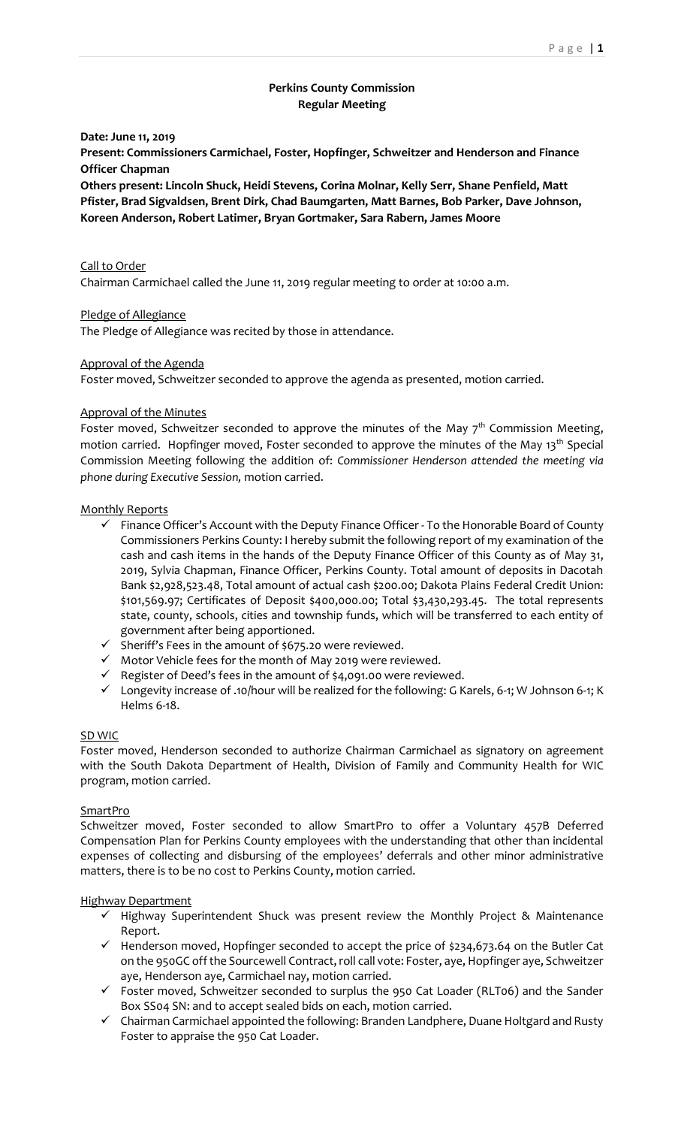# **Perkins County Commission Regular Meeting**

**Date: June 11, 2019**

**Present: Commissioners Carmichael, Foster, Hopfinger, Schweitzer and Henderson and Finance Officer Chapman**

**Others present: Lincoln Shuck, Heidi Stevens, Corina Molnar, Kelly Serr, Shane Penfield, Matt Pfister, Brad Sigvaldsen, Brent Dirk, Chad Baumgarten, Matt Barnes, Bob Parker, Dave Johnson, Koreen Anderson, Robert Latimer, Bryan Gortmaker, Sara Rabern, James Moore**

Call to Order Chairman Carmichael called the June 11, 2019 regular meeting to order at 10:00 a.m.

Pledge of Allegiance

The Pledge of Allegiance was recited by those in attendance.

### Approval of the Agenda

Foster moved, Schweitzer seconded to approve the agenda as presented, motion carried.

#### Approval of the Minutes

Foster moved, Schweitzer seconded to approve the minutes of the May  $7<sup>th</sup>$  Commission Meeting, motion carried. Hopfinger moved, Foster seconded to approve the minutes of the May 13<sup>th</sup> Special Commission Meeting following the addition of: *Commissioner Henderson attended the meeting via phone during Executive Session,* motion carried.

### Monthly Reports

- $\checkmark$  Finance Officer's Account with the Deputy Finance Officer To the Honorable Board of County Commissioners Perkins County: I hereby submit the following report of my examination of the cash and cash items in the hands of the Deputy Finance Officer of this County as of May 31, 2019, Sylvia Chapman, Finance Officer, Perkins County. Total amount of deposits in Dacotah Bank \$2,928,523.48, Total amount of actual cash \$200.00; Dakota Plains Federal Credit Union: \$101,569.97; Certificates of Deposit \$400,000.00; Total \$3,430,293.45. The total represents state, county, schools, cities and township funds, which will be transferred to each entity of government after being apportioned.
- ✓ Sheriff's Fees in the amount of \$675.20 were reviewed.
- ✓ Motor Vehicle fees for the month of May 2019 were reviewed.
- ✓ Register of Deed's fees in the amount of \$4,091.00 were reviewed.
- ✓ Longevity increase of .10/hour will be realized for the following: G Karels, 6-1; W Johnson 6-1; K Helms 6-18.

#### SD WIC

Foster moved, Henderson seconded to authorize Chairman Carmichael as signatory on agreement with the South Dakota Department of Health, Division of Family and Community Health for WIC program, motion carried.

#### SmartPro

Schweitzer moved, Foster seconded to allow SmartPro to offer a Voluntary 457B Deferred Compensation Plan for Perkins County employees with the understanding that other than incidental expenses of collecting and disbursing of the employees' deferrals and other minor administrative matters, there is to be no cost to Perkins County, motion carried.

### Highway Department

- ✓ Highway Superintendent Shuck was present review the Monthly Project & Maintenance Report.
- ✓ Henderson moved, Hopfinger seconded to accept the price of \$234,673.64 on the Butler Cat on the 950GC off the Sourcewell Contract, roll call vote: Foster, aye, Hopfinger aye, Schweitzer aye, Henderson aye, Carmichael nay, motion carried.
- ✓ Foster moved, Schweitzer seconded to surplus the 950 Cat Loader (RLT06) and the Sander Box SS04 SN: and to accept sealed bids on each, motion carried.
- ✓ Chairman Carmichael appointed the following: Branden Landphere, Duane Holtgard and Rusty Foster to appraise the 950 Cat Loader.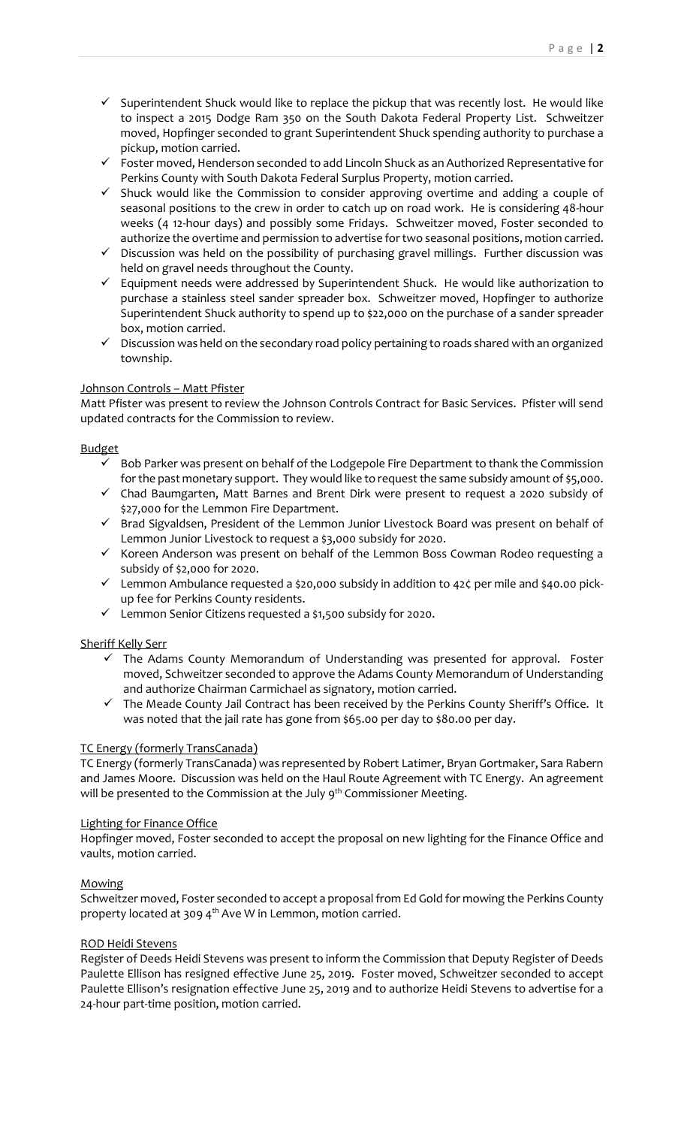- ✓ Superintendent Shuck would like to replace the pickup that was recently lost. He would like to inspect a 2015 Dodge Ram 350 on the South Dakota Federal Property List. Schweitzer moved, Hopfinger seconded to grant Superintendent Shuck spending authority to purchase a pickup, motion carried.
- ✓ Foster moved, Henderson seconded to add Lincoln Shuck as an Authorized Representative for Perkins County with South Dakota Federal Surplus Property, motion carried.
- ✓ Shuck would like the Commission to consider approving overtime and adding a couple of seasonal positions to the crew in order to catch up on road work. He is considering 48-hour weeks (4 12-hour days) and possibly some Fridays. Schweitzer moved, Foster seconded to authorize the overtime and permission to advertise for two seasonal positions, motion carried.
- ✓ Discussion was held on the possibility of purchasing gravel millings. Further discussion was held on gravel needs throughout the County.
- ✓ Equipment needs were addressed by Superintendent Shuck. He would like authorization to purchase a stainless steel sander spreader box. Schweitzer moved, Hopfinger to authorize Superintendent Shuck authority to spend up to \$22,000 on the purchase of a sander spreader box, motion carried.
- ✓ Discussion was held on the secondary road policy pertaining to roads shared with an organized township.

### Johnson Controls – Matt Pfister

Matt Pfister was present to review the Johnson Controls Contract for Basic Services. Pfister will send updated contracts for the Commission to review.

### Budget

- ✓ Bob Parker was present on behalf of the Lodgepole Fire Department to thank the Commission for the past monetary support. They would like to request the same subsidy amount of \$5,000.
- ✓ Chad Baumgarten, Matt Barnes and Brent Dirk were present to request a 2020 subsidy of \$27,000 for the Lemmon Fire Department.
- ✓ Brad Sigvaldsen, President of the Lemmon Junior Livestock Board was present on behalf of Lemmon Junior Livestock to request a \$3,000 subsidy for 2020.
- ✓ Koreen Anderson was present on behalf of the Lemmon Boss Cowman Rodeo requesting a subsidy of \$2,000 for 2020.
- ✓ Lemmon Ambulance requested a \$20,000 subsidy in addition to 42¢ per mile and \$40.00 pickup fee for Perkins County residents.
- ✓ Lemmon Senior Citizens requested a \$1,500 subsidy for 2020.

# Sheriff Kelly Serr

- ✓ The Adams County Memorandum of Understanding was presented for approval. Foster moved, Schweitzer seconded to approve the Adams County Memorandum of Understanding and authorize Chairman Carmichael as signatory, motion carried.
- The Meade County Jail Contract has been received by the Perkins County Sheriff's Office. It was noted that the jail rate has gone from \$65.00 per day to \$80.00 per day.

### TC Energy (formerly TransCanada)

TC Energy (formerly TransCanada) was represented by Robert Latimer, Bryan Gortmaker, Sara Rabern and James Moore. Discussion was held on the Haul Route Agreement with TC Energy. An agreement will be presented to the Commission at the July 9<sup>th</sup> Commissioner Meeting.

### Lighting for Finance Office

Hopfinger moved, Foster seconded to accept the proposal on new lighting for the Finance Office and vaults, motion carried.

### Mowing

Schweitzer moved, Foster seconded to accept a proposal from Ed Gold for mowing the Perkins County property located at 309 4<sup>th</sup> Ave W in Lemmon, motion carried.

### ROD Heidi Stevens

Register of Deeds Heidi Stevens was present to inform the Commission that Deputy Register of Deeds Paulette Ellison has resigned effective June 25, 2019. Foster moved, Schweitzer seconded to accept Paulette Ellison's resignation effective June 25, 2019 and to authorize Heidi Stevens to advertise for a 24-hour part-time position, motion carried.